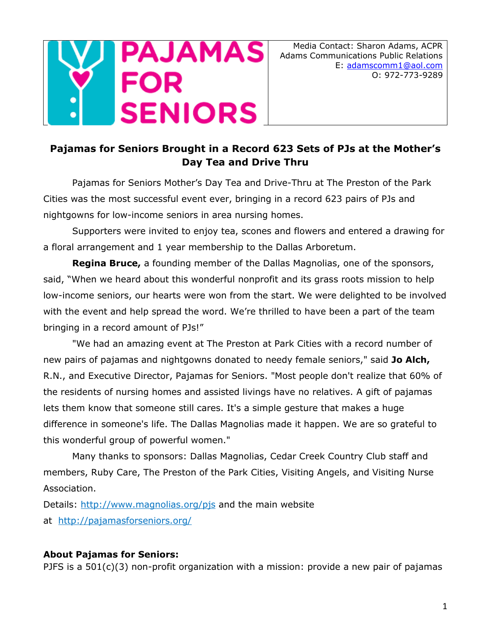

## **Pajamas for Seniors Brought in a Record 623 Sets of PJs at the Mother's Day Tea and Drive Thru**

Pajamas for Seniors Mother's Day Tea and Drive-Thru at The Preston of the Park Cities was the most successful event ever, bringing in a record 623 pairs of PJs and nightgowns for low-income seniors in area nursing homes.

Supporters were invited to enjoy tea, scones and flowers and entered a drawing for a floral arrangement and 1 year membership to the Dallas Arboretum.

**Regina Bruce,** a founding member of the Dallas Magnolias, one of the sponsors, said, "When we heard about this wonderful nonprofit and its grass roots mission to help low-income seniors, our hearts were won from the start. We were delighted to be involved with the event and help spread the word. We're thrilled to have been a part of the team bringing in a record amount of PJs!"

"We had an amazing event at The Preston at Park Cities with a record number of new pairs of pajamas and nightgowns donated to needy female seniors," said **Jo Alch,** R.N., and Executive Director, Pajamas for Seniors. "Most people don't realize that 60% of the residents of nursing homes and assisted livings have no relatives. A gift of pajamas lets them know that someone still cares. It's a simple gesture that makes a huge difference in someone's life. The Dallas Magnolias made it happen. We are so grateful to this wonderful group of powerful women."

Many thanks to sponsors: Dallas Magnolias, Cedar Creek Country Club staff and members, Ruby Care, The Preston of the Park Cities, Visiting Angels, and Visiting Nurse Association.

Details: http://www.magnolias.org/pis and the main website at <http://pajamasforseniors.org/>

## **About Pajamas for Seniors:**

PJFS is a  $501(c)(3)$  non-profit organization with a mission: provide a new pair of pajamas